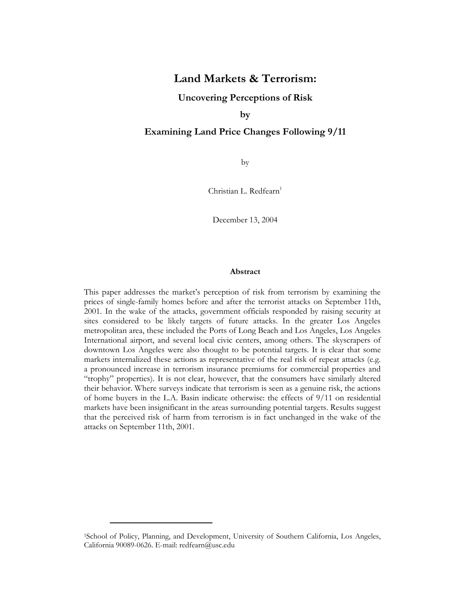# **Land Markets & Terrorism:**

## **Uncovering Perceptions of Risk**

**by** 

## **Examining Land Price Changes Following 9/11**

by

Christian L. Redfearn $<sup>1</sup>$ </sup>

December 13, 2004

#### **Abstract**

This paper addresses the market's perception of risk from terrorism by examining the prices of single-family homes before and after the terrorist attacks on September 11th, 2001. In the wake of the attacks, government officials responded by raising security at sites considered to be likely targets of future attacks. In the greater Los Angeles metropolitan area, these included the Ports of Long Beach and Los Angeles, Los Angeles International airport, and several local civic centers, among others. The skyscrapers of downtown Los Angeles were also thought to be potential targets. It is clear that some markets internalized these actions as representative of the real risk of repeat attacks (e.g. a pronounced increase in terrorism insurance premiums for commercial properties and "trophy" properties). It is not clear, however, that the consumers have similarly altered their behavior. Where surveys indicate that terrorism is seen as a genuine risk, the actions of home buyers in the L.A. Basin indicate otherwise: the effects of 9/11 on residential markets have been insignificant in the areas surrounding potential targets. Results suggest that the perceived risk of harm from terrorism is in fact unchanged in the wake of the attacks on September 11th, 2001.

<sup>1</sup>School of Policy, Planning, and Development, University of Southern California, Los Angeles, California 90089-0626. E-mail: redfearn@usc.edu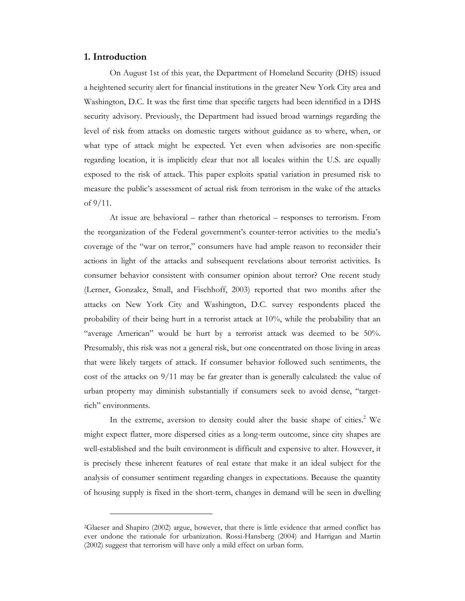#### **1. Introduction**

 $\ddot{\phantom{a}}$ 

On August 1st of this year, the Department of Homeland Security (DHS) issued a heightened security alert for financial institutions in the greater New York City area and Washington, D.C. It was the first time that specific targets had been identified in a DHS security advisory. Previously, the Department had issued broad warnings regarding the level of risk from attacks on domestic targets without guidance as to where, when, or what type of attack might be expected. Yet even when advisories are non-specific regarding location, it is implicitly clear that not all locales within the U.S. are equally exposed to the risk of attack. This paper exploits spatial variation in presumed risk to measure the public's assessment of actual risk from terrorism in the wake of the attacks of 9/11.

At issue are behavioral – rather than rhetorical – responses to terrorism. From the reorganization of the Federal government's counter-terror activities to the media's coverage of the "war on terror," consumers have had ample reason to reconsider their actions in light of the attacks and subsequent revelations about terrorist activities. Is consumer behavior consistent with consumer opinion about terror? One recent study (Lerner, Gonzalez, Small, and Fischhoff, 2003) reported that two months after the attacks on New York City and Washington, D.C. survey respondents placed the probability of their being hurt in a terrorist attack at 10%, while the probability that an "average American" would be hurt by a terrorist attack was deemed to be 50%. Presumably, this risk was not a general risk, but one concentrated on those living in areas that were likely targets of attack. If consumer behavior followed such sentiments, the cost of the attacks on 9/11 may be far greater than is generally calculated: the value of urban property may diminish substantially if consumers seek to avoid dense, "targetrich" environments.

In the extreme, aversion to density could alter the basic shape of cities.<sup>2</sup> We might expect flatter, more dispersed cities as a long-term outcome, since city shapes are well-established and the built environment is difficult and expensive to alter. However, it is precisely these inherent features of real estate that make it an ideal subject for the analysis of consumer sentiment regarding changes in expectations. Because the quantity of housing supply is fixed in the short-term, changes in demand will be seen in dwelling

<sup>2</sup>Glaeser and Shapiro (2002) argue, however, that there is little evidence that armed conflict has ever undone the rationale for urbanization. Rossi-Hansberg (2004) and Harrigan and Martin (2002) suggest that terrorism will have only a mild effect on urban form.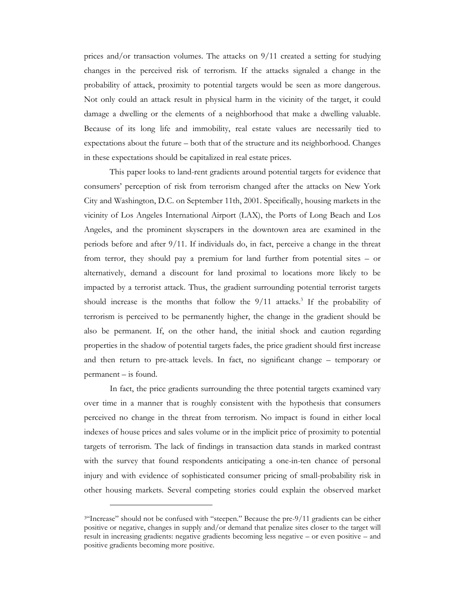prices and/or transaction volumes. The attacks on 9/11 created a setting for studying changes in the perceived risk of terrorism. If the attacks signaled a change in the probability of attack, proximity to potential targets would be seen as more dangerous. Not only could an attack result in physical harm in the vicinity of the target, it could damage a dwelling or the elements of a neighborhood that make a dwelling valuable. Because of its long life and immobility, real estate values are necessarily tied to expectations about the future – both that of the structure and its neighborhood. Changes in these expectations should be capitalized in real estate prices.

This paper looks to land-rent gradients around potential targets for evidence that consumers' perception of risk from terrorism changed after the attacks on New York City and Washington, D.C. on September 11th, 2001. Specifically, housing markets in the vicinity of Los Angeles International Airport (LAX), the Ports of Long Beach and Los Angeles, and the prominent skyscrapers in the downtown area are examined in the periods before and after 9/11. If individuals do, in fact, perceive a change in the threat from terror, they should pay a premium for land further from potential sites – or alternatively, demand a discount for land proximal to locations more likely to be impacted by a terrorist attack. Thus, the gradient surrounding potential terrorist targets should increase is the months that follow the  $9/11$  attacks.<sup>3</sup> If the probability of terrorism is perceived to be permanently higher, the change in the gradient should be also be permanent. If, on the other hand, the initial shock and caution regarding properties in the shadow of potential targets fades, the price gradient should first increase and then return to pre-attack levels. In fact, no significant change – temporary or permanent – is found.

In fact, the price gradients surrounding the three potential targets examined vary over time in a manner that is roughly consistent with the hypothesis that consumers perceived no change in the threat from terrorism. No impact is found in either local indexes of house prices and sales volume or in the implicit price of proximity to potential targets of terrorism. The lack of findings in transaction data stands in marked contrast with the survey that found respondents anticipating a one-in-ten chance of personal injury and with evidence of sophisticated consumer pricing of small-probability risk in other housing markets. Several competing stories could explain the observed market

<sup>&</sup>lt;sup>3"</sup>Increase" should not be confused with "steepen." Because the pre-9/11 gradients can be either positive or negative, changes in supply and/or demand that penalize sites closer to the target will result in increasing gradients: negative gradients becoming less negative – or even positive – and positive gradients becoming more positive.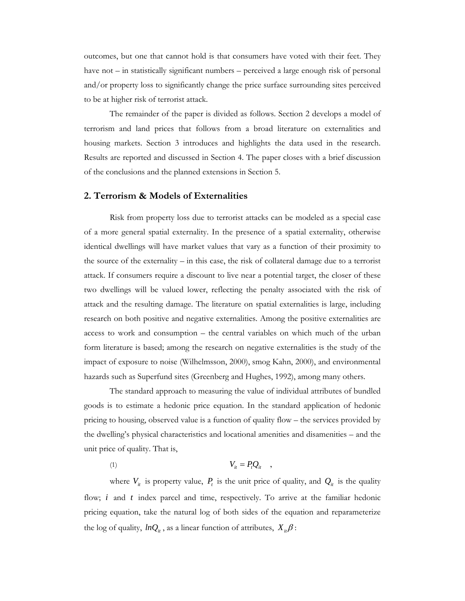outcomes, but one that cannot hold is that consumers have voted with their feet. They have not – in statistically significant numbers – perceived a large enough risk of personal and/or property loss to significantly change the price surface surrounding sites perceived to be at higher risk of terrorist attack.

The remainder of the paper is divided as follows. Section 2 develops a model of terrorism and land prices that follows from a broad literature on externalities and housing markets. Section 3 introduces and highlights the data used in the research. Results are reported and discussed in Section 4. The paper closes with a brief discussion of the conclusions and the planned extensions in Section 5.

### **2. Terrorism & Models of Externalities**

Risk from property loss due to terrorist attacks can be modeled as a special case of a more general spatial externality. In the presence of a spatial externality, otherwise identical dwellings will have market values that vary as a function of their proximity to the source of the externality – in this case, the risk of collateral damage due to a terrorist attack. If consumers require a discount to live near a potential target, the closer of these two dwellings will be valued lower, reflecting the penalty associated with the risk of attack and the resulting damage. The literature on spatial externalities is large, including research on both positive and negative externalities. Among the positive externalities are access to work and consumption – the central variables on which much of the urban form literature is based; among the research on negative externalities is the study of the impact of exposure to noise (Wilhelmsson, 2000), smog Kahn, 2000), and environmental hazards such as Superfund sites (Greenberg and Hughes, 1992), among many others.

The standard approach to measuring the value of individual attributes of bundled goods is to estimate a hedonic price equation. In the standard application of hedonic pricing to housing, observed value is a function of quality flow – the services provided by the dwelling's physical characteristics and locational amenities and disamenities – and the unit price of quality. That is,

$$
V_{it} = P_t Q_{it} \quad ,
$$

where  $V_{it}$  is property value,  $P_t$  is the unit price of quality, and  $Q_{it}$  is the quality flow; *i* and *t* index parcel and time, respectively. To arrive at the familiar hedonic pricing equation, take the natural log of both sides of the equation and reparameterize the log of quality,  $lnQ_i$ , as a linear function of attributes,  $X_i \beta$ :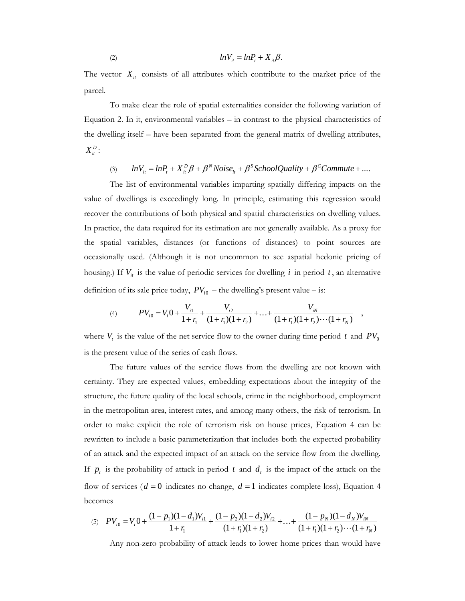(2) *it t it lnV lnP X* = + . β

The vector  $X_{it}$  consists of all attributes which contribute to the market price of the parcel.

To make clear the role of spatial externalities consider the following variation of Equation 2. In it, environmental variables – in contrast to the physical characteristics of the dwelling itself – have been separated from the general matrix of dwelling attributes,  $X_i^D$  :

$$
(3) \qquad lnV_{it} = lnP_t + X_{it}^D \beta + \beta^N Noise_{it} + \beta^S SchoolQuality + \beta^C Committee + ....
$$

The list of environmental variables imparting spatially differing impacts on the value of dwellings is exceedingly long. In principle, estimating this regression would recover the contributions of both physical and spatial characteristics on dwelling values. In practice, the data required for its estimation are not generally available. As a proxy for the spatial variables, distances (or functions of distances) to point sources are occasionally used. (Although it is not uncommon to see aspatial hedonic pricing of housing.) If  $V_i$  is the value of periodic services for dwelling  $i$  in period  $t$ , an alternative definition of its sale price today,  $PV_{i0}$  – the dwelling's present value – is:

(4) 
$$
PV_{i0} = V_i 0 + \frac{V_{i1}}{1+r_1} + \frac{V_{i2}}{(1+r_1)(1+r_2)} + \dots + \frac{V_{iN}}{(1+r_1)(1+r_2)\cdots(1+r_N)},
$$

where  $V_t$  is the value of the net service flow to the owner during time period t and  $PV_0$ is the present value of the series of cash flows.

The future values of the service flows from the dwelling are not known with certainty. They are expected values, embedding expectations about the integrity of the structure, the future quality of the local schools, crime in the neighborhood, employment in the metropolitan area, interest rates, and among many others, the risk of terrorism. In order to make explicit the role of terrorism risk on house prices, Equation 4 can be rewritten to include a basic parameterization that includes both the expected probability of an attack and the expected impact of an attack on the service flow from the dwelling. If  $p_t$  is the probability of attack in period  $t$  and  $d_t$  is the impact of the attack on the flow of services ( $d = 0$  indicates no change,  $d = 1$  indicates complete loss), Equation 4 becomes

(5) 
$$
PV_{i0} = V_i 0 + \frac{(1 - p_1)(1 - d_1)V_{i1}}{1 + r_1} + \frac{(1 - p_2)(1 - d_2)V_{i2}}{(1 + r_1)(1 + r_2)} + \dots + \frac{(1 - p_N)(1 - d_N)V_{iN}}{(1 + r_1)(1 + r_2)\cdots(1 + r_N)}
$$

Any non-zero probability of attack leads to lower home prices than would have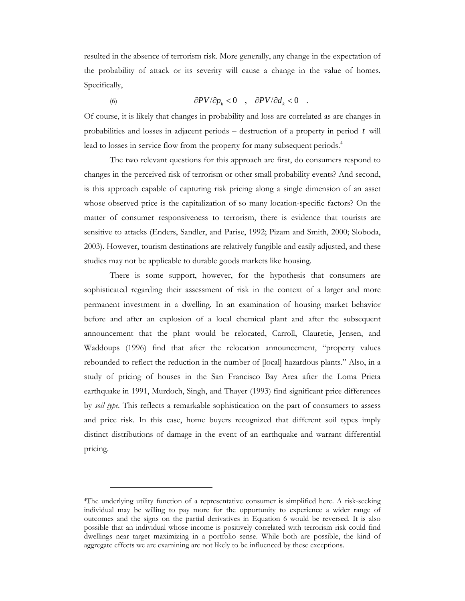resulted in the absence of terrorism risk. More generally, any change in the expectation of the probability of attack or its severity will cause a change in the value of homes. Specifically,

(6) 
$$
\partial PV/\partial p_k < 0
$$
,  $\partial PV/\partial d_k < 0$ .

Of course, it is likely that changes in probability and loss are correlated as are changes in probabilities and losses in adjacent periods – destruction of a property in period *t* will lead to losses in service flow from the property for many subsequent periods.<sup>4</sup>

The two relevant questions for this approach are first, do consumers respond to changes in the perceived risk of terrorism or other small probability events? And second, is this approach capable of capturing risk pricing along a single dimension of an asset whose observed price is the capitalization of so many location-specific factors? On the matter of consumer responsiveness to terrorism, there is evidence that tourists are sensitive to attacks (Enders, Sandler, and Parise, 1992; Pizam and Smith, 2000; Sloboda, 2003). However, tourism destinations are relatively fungible and easily adjusted, and these studies may not be applicable to durable goods markets like housing.

There is some support, however, for the hypothesis that consumers are sophisticated regarding their assessment of risk in the context of a larger and more permanent investment in a dwelling. In an examination of housing market behavior before and after an explosion of a local chemical plant and after the subsequent announcement that the plant would be relocated, Carroll, Clauretie, Jensen, and Waddoups (1996) find that after the relocation announcement, "property values rebounded to reflect the reduction in the number of [local] hazardous plants." Also, in a study of pricing of houses in the San Francisco Bay Area after the Loma Prieta earthquake in 1991, Murdoch, Singh, and Thayer (1993) find significant price differences by *soil type*. This reflects a remarkable sophistication on the part of consumers to assess and price risk. In this case, home buyers recognized that different soil types imply distinct distributions of damage in the event of an earthquake and warrant differential pricing.

<sup>4</sup>The underlying utility function of a representative consumer is simplified here. A risk-seeking individual may be willing to pay more for the opportunity to experience a wider range of outcomes and the signs on the partial derivatives in Equation 6 would be reversed. It is also possible that an individual whose income is positively correlated with terrorism risk could find dwellings near target maximizing in a portfolio sense. While both are possible, the kind of aggregate effects we are examining are not likely to be influenced by these exceptions.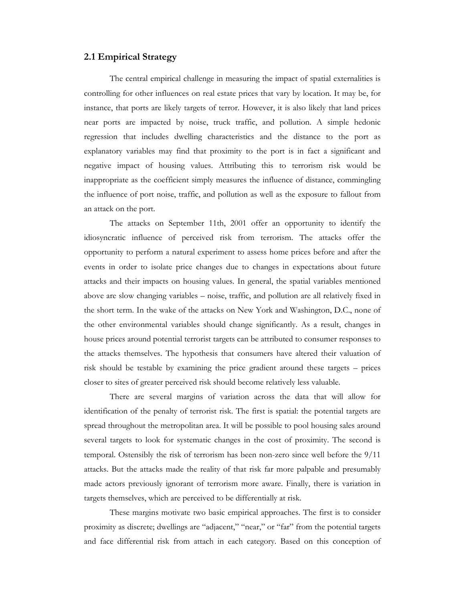### **2.1 Empirical Strategy**

The central empirical challenge in measuring the impact of spatial externalities is controlling for other influences on real estate prices that vary by location. It may be, for instance, that ports are likely targets of terror. However, it is also likely that land prices near ports are impacted by noise, truck traffic, and pollution. A simple hedonic regression that includes dwelling characteristics and the distance to the port as explanatory variables may find that proximity to the port is in fact a significant and negative impact of housing values. Attributing this to terrorism risk would be inappropriate as the coefficient simply measures the influence of distance, commingling the influence of port noise, traffic, and pollution as well as the exposure to fallout from an attack on the port.

The attacks on September 11th, 2001 offer an opportunity to identify the idiosyncratic influence of perceived risk from terrorism. The attacks offer the opportunity to perform a natural experiment to assess home prices before and after the events in order to isolate price changes due to changes in expectations about future attacks and their impacts on housing values. In general, the spatial variables mentioned above are slow changing variables – noise, traffic, and pollution are all relatively fixed in the short term. In the wake of the attacks on New York and Washington, D.C., none of the other environmental variables should change significantly. As a result, changes in house prices around potential terrorist targets can be attributed to consumer responses to the attacks themselves. The hypothesis that consumers have altered their valuation of risk should be testable by examining the price gradient around these targets – prices closer to sites of greater perceived risk should become relatively less valuable.

There are several margins of variation across the data that will allow for identification of the penalty of terrorist risk. The first is spatial: the potential targets are spread throughout the metropolitan area. It will be possible to pool housing sales around several targets to look for systematic changes in the cost of proximity. The second is temporal. Ostensibly the risk of terrorism has been non-zero since well before the 9/11 attacks. But the attacks made the reality of that risk far more palpable and presumably made actors previously ignorant of terrorism more aware. Finally, there is variation in targets themselves, which are perceived to be differentially at risk.

These margins motivate two basic empirical approaches. The first is to consider proximity as discrete; dwellings are "adjacent," "near," or "far" from the potential targets and face differential risk from attach in each category. Based on this conception of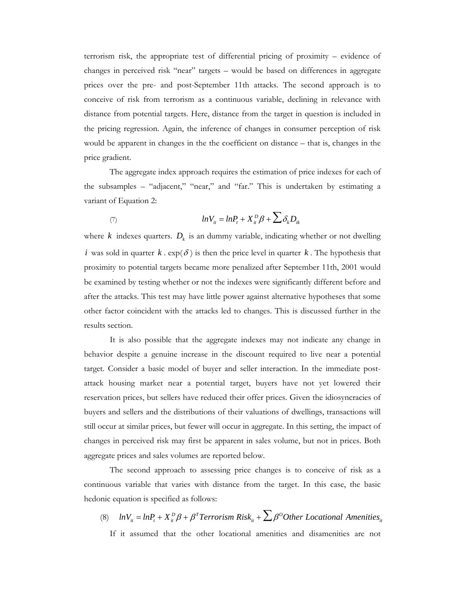terrorism risk, the appropriate test of differential pricing of proximity – evidence of changes in perceived risk "near" targets – would be based on differences in aggregate prices over the pre- and post-September 11th attacks. The second approach is to conceive of risk from terrorism as a continuous variable, declining in relevance with distance from potential targets. Here, distance from the target in question is included in the pricing regression. Again, the inference of changes in consumer perception of risk would be apparent in changes in the the coefficient on distance – that is, changes in the price gradient.

The aggregate index approach requires the estimation of price indexes for each of the subsamples – "adjacent," "near," and "far." This is undertaken by estimating a variant of Equation 2:

(7) 
$$
ln V_{ii} = ln P_t + X_{ii}^D \beta + \sum \delta_k D_{ik}
$$

where  $k$  indexes quarters.  $D_k$  is an dummy variable, indicating whether or not dwelling *i* was sold in quarter  $k \cdot \exp(\delta)$  is then the price level in quarter  $k$ . The hypothesis that proximity to potential targets became more penalized after September 11th, 2001 would be examined by testing whether or not the indexes were significantly different before and after the attacks. This test may have little power against alternative hypotheses that some other factor coincident with the attacks led to changes. This is discussed further in the results section.

It is also possible that the aggregate indexes may not indicate any change in behavior despite a genuine increase in the discount required to live near a potential target. Consider a basic model of buyer and seller interaction. In the immediate postattack housing market near a potential target, buyers have not yet lowered their reservation prices, but sellers have reduced their offer prices. Given the idiosyncracies of buyers and sellers and the distributions of their valuations of dwellings, transactions will still occur at similar prices, but fewer will occur in aggregate. In this setting, the impact of changes in perceived risk may first be apparent in sales volume, but not in prices. Both aggregate prices and sales volumes are reported below.

The second approach to assessing price changes is to conceive of risk as a continuous variable that varies with distance from the target. In this case, the basic hedonic equation is specified as follows:

(8)  $ln V_{ii} = ln P_i + X_{ii}^D \beta + \beta^T Terroring_{ii}$  Risk<sub>ii</sub> +  $\sum \beta^O$ Other Locational Amenities<sub>ii</sub> If it assumed that the other locational amenities and disamenities are not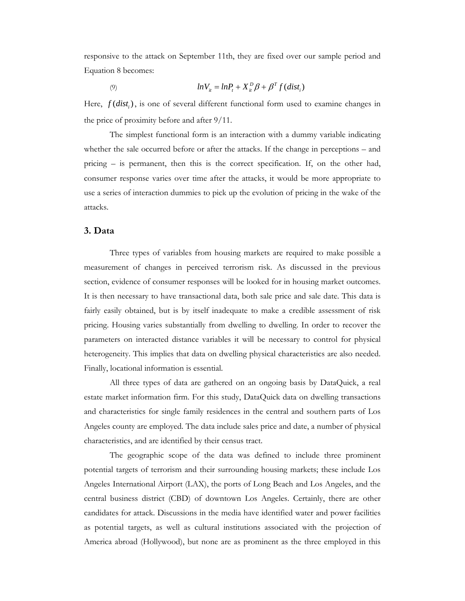responsive to the attack on September 11th, they are fixed over our sample period and Equation 8 becomes:

(9) 
$$
ln V_{it} = ln P_t + X_{it}^D \beta + \beta^T f (dist_i)
$$

Here,  $f(dist_i)$ , is one of several different functional form used to examine changes in the price of proximity before and after 9/11.

The simplest functional form is an interaction with a dummy variable indicating whether the sale occurred before or after the attacks. If the change in perceptions – and pricing – is permanent, then this is the correct specification. If, on the other had, consumer response varies over time after the attacks, it would be more appropriate to use a series of interaction dummies to pick up the evolution of pricing in the wake of the attacks.

### **3. Data**

Three types of variables from housing markets are required to make possible a measurement of changes in perceived terrorism risk. As discussed in the previous section, evidence of consumer responses will be looked for in housing market outcomes. It is then necessary to have transactional data, both sale price and sale date. This data is fairly easily obtained, but is by itself inadequate to make a credible assessment of risk pricing. Housing varies substantially from dwelling to dwelling. In order to recover the parameters on interacted distance variables it will be necessary to control for physical heterogeneity. This implies that data on dwelling physical characteristics are also needed. Finally, locational information is essential.

All three types of data are gathered on an ongoing basis by DataQuick, a real estate market information firm. For this study, DataQuick data on dwelling transactions and characteristics for single family residences in the central and southern parts of Los Angeles county are employed. The data include sales price and date, a number of physical characteristics, and are identified by their census tract.

The geographic scope of the data was defined to include three prominent potential targets of terrorism and their surrounding housing markets; these include Los Angeles International Airport (LAX), the ports of Long Beach and Los Angeles, and the central business district (CBD) of downtown Los Angeles. Certainly, there are other candidates for attack. Discussions in the media have identified water and power facilities as potential targets, as well as cultural institutions associated with the projection of America abroad (Hollywood), but none are as prominent as the three employed in this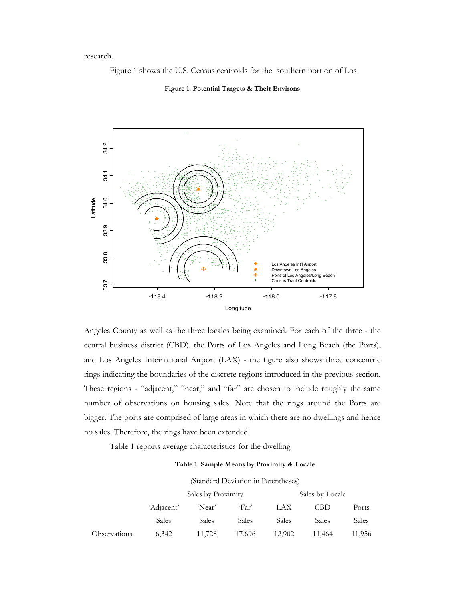research.

Figure 1 shows the U.S. Census centroids for the southern portion of Los



**Figure 1. Potential Targets & Their Environs**

Angeles County as well as the three locales being examined. For each of the three - the central business district (CBD), the Ports of Los Angeles and Long Beach (the Ports), and Los Angeles International Airport (LAX) - the figure also shows three concentric rings indicating the boundaries of the discrete regions introduced in the previous section. These regions - "adjacent," "near," and "far" are chosen to include roughly the same number of observations on housing sales. Note that the rings around the Ports are bigger. The ports are comprised of large areas in which there are no dwellings and hence no sales. Therefore, the rings have been extended.

Table 1 reports average characteristics for the dwelling

#### **Table 1. Sample Means by Proximity & Locale**

#### (Standard Deviation in Parentheses)

|              |                               | Sales by Proximity |              | Sales by Locale |            |        |  |
|--------------|-------------------------------|--------------------|--------------|-----------------|------------|--------|--|
|              | 'Far'<br>'Near'<br>'Adjacent' |                    |              | LAX             | <b>CBD</b> | Ports  |  |
|              | Sales                         | Sales              | <b>Sales</b> | <b>Sales</b>    | Sales      | Sales  |  |
| Observations | 6.342                         | 11.728             | 17.696       | 12.902          | 11.464     | 11,956 |  |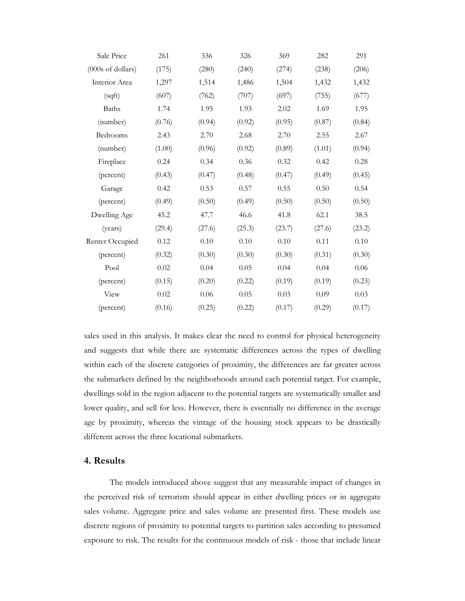| Sale Price        | 261    | 336    | 326    | 369    | 282    | 291    |
|-------------------|--------|--------|--------|--------|--------|--------|
| (000s of dollars) | (175)  | (280)  | (240)  | (274)  | (238)  | (206)  |
| Interior Area     | 1,297  | 1,514  | 1,486  | 1,504  | 1,432  | 1,432  |
| (sqft)            | (607)  | (762)  | (707)  | (697)  | (755)  | (677)  |
| <b>Baths</b>      | 1.74   | 1.95   | 1.93   | 2.02   | 1.69   | 1.95   |
| (number)          | (0.76) | (0.94) | (0.92) | (0.95) | (0.87) | (0.84) |
| Bedrooms          | 2.43   | 2.70   | 2.68   | 2.70   | 2.55   | 2.67   |
| (number)          | (1.00) | (0.96) | (0.92) | (0.89) | (1.01) | (0.94) |
| Fireplace         | 0.24   | 0.34   | 0.36   | 0.32   | 0.42   | 0.28   |
| (percent)         | (0.43) | (0.47) | (0.48) | (0.47) | (0.49) | (0.45) |
| Garage            | 0.42   | 0.53   | 0.57   | 0.55   | 0.50   | 0.54   |
| (percent)         | (0.49) | (0.50) | (0.49) | (0.50) | (0.50) | (0.50) |
| Dwelling Age      | 45.2   | 47.7   | 46.6   | 41.8   | 62.1   | 38.5   |
| ( <i>years</i> )  | (29.4) | (27.6) | (25.3) | (23.7) | (27.6) | (23.2) |
| Renter Occupied   | 0.12   | 0.10   | 0.10   | 0.10   | 0.11   | 0.10   |
| (percent)         | (0.32) | (0.30) | (0.30) | (0.30) | (0.31) | (0.30) |
| Pool              | 0.02   | 0.04   | 0.05   | 0.04   | 0.04   | 0.06   |
| (percent)         | (0.15) | (0.20) | (0.22) | (0.19) | (0.19) | (0.23) |
| View              | 0.02   | 0.06   | 0.05   | 0.03   | 0.09   | 0.03   |
| (percent)         | (0.16) | (0.25) | (0.22) | (0.17) | (0.29) | (0.17) |

sales used in this analysis. It makes clear the need to control for physical heterogeneity and suggests that while there are systematic differences across the types of dwelling within each of the discrete categories of proximity, the differences are far greater across the submarkets defined by the neighborhoods around each potential target. For example, dwellings sold in the region adjacent to the potential targets are systematically smaller and lower quality, and sell for less. However, there is essentially no difference in the average age by proximity, whereas the vintage of the housing stock appears to be drastically different across the three locational submarkets.

### **4. Results**

The models introduced above suggest that any measurable impact of changes in the perceived risk of terrorism should appear in either dwelling prices or in aggregate sales volume. Aggregate price and sales volume are presented first. These models use discrete regions of proximity to potential targets to partition sales according to presumed exposure to risk. The results for the continuous models of risk - those that include linear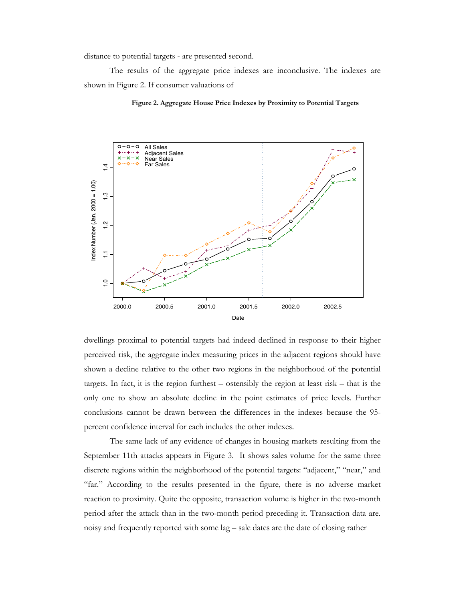distance to potential targets - are presented second.

The results of the aggregate price indexes are inconclusive. The indexes are shown in Figure 2. If consumer valuations of





dwellings proximal to potential targets had indeed declined in response to their higher perceived risk, the aggregate index measuring prices in the adjacent regions should have shown a decline relative to the other two regions in the neighborhood of the potential targets. In fact, it is the region furthest – ostensibly the region at least risk – that is the only one to show an absolute decline in the point estimates of price levels. Further conclusions cannot be drawn between the differences in the indexes because the 95 percent confidence interval for each includes the other indexes.

The same lack of any evidence of changes in housing markets resulting from the September 11th attacks appears in Figure 3. It shows sales volume for the same three discrete regions within the neighborhood of the potential targets: "adjacent," "near," and "far." According to the results presented in the figure, there is no adverse market reaction to proximity. Quite the opposite, transaction volume is higher in the two-month period after the attack than in the two-month period preceding it. Transaction data are. noisy and frequently reported with some lag – sale dates are the date of closing rather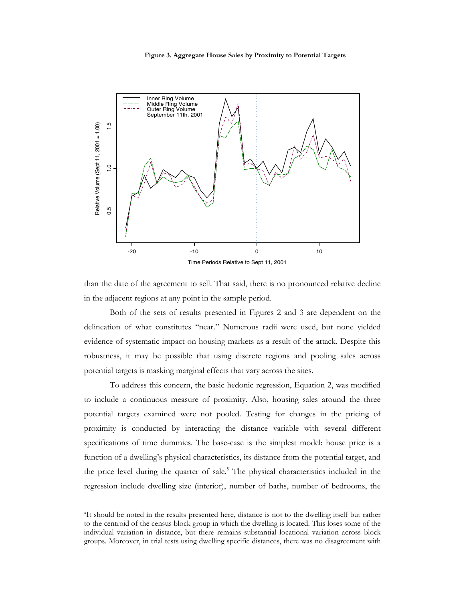

than the date of the agreement to sell. That said, there is no pronounced relative decline in the adjacent regions at any point in the sample period.

Both of the sets of results presented in Figures 2 and 3 are dependent on the delineation of what constitutes "near." Numerous radii were used, but none yielded evidence of systematic impact on housing markets as a result of the attack. Despite this robustness, it may be possible that using discrete regions and pooling sales across potential targets is masking marginal effects that vary across the sites.

To address this concern, the basic hedonic regression, Equation 2, was modified to include a continuous measure of proximity. Also, housing sales around the three potential targets examined were not pooled. Testing for changes in the pricing of proximity is conducted by interacting the distance variable with several different specifications of time dummies. The base-case is the simplest model: house price is a function of a dwelling's physical characteristics, its distance from the potential target, and the price level during the quarter of sale.<sup>5</sup> The physical characteristics included in the regression include dwelling size (interior), number of baths, number of bedrooms, the

<sup>5</sup>It should be noted in the results presented here, distance is not to the dwelling itself but rather to the centroid of the census block group in which the dwelling is located. This loses some of the individual variation in distance, but there remains substantial locational variation across block groups. Moreover, in trial tests using dwelling specific distances, there was no disagreement with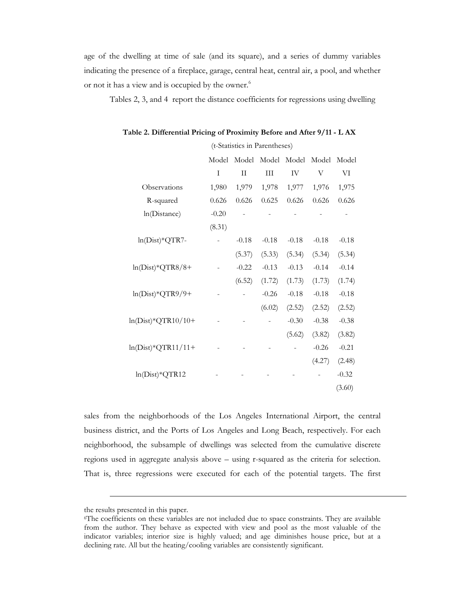age of the dwelling at time of sale (and its square), and a series of dummy variables indicating the presence of a fireplace, garage, central heat, central air, a pool, and whether or not it has a view and is occupied by the owner.<sup>6</sup>

Tables 2, 3, and 4 report the distance coefficients for regressions using dwelling

|                      | Model   | Model          | Model     | Model      | Model                     | Model     |
|----------------------|---------|----------------|-----------|------------|---------------------------|-----------|
|                      | $\rm I$ | $\rm II$       | $\rm III$ | ${\rm IV}$ | $\boldsymbol{\mathrm{V}}$ | VI        |
| Observations         | 1,980   | 1,979          | 1,978     | 1,977      | 1,976                     | 1,975     |
| R-squared            | 0.626   | 0.626          | 0.625     | 0.626      | 0.626                     | $0.626\,$ |
| ln(Distance)         | $-0.20$ | $\blacksquare$ |           |            |                           |           |
|                      | (8.31)  |                |           |            |                           |           |
| $ln(Dist)*QTR7-$     | $\Box$  | $-0.18$        | $-0.18$   | $-0.18$    | $-0.18$                   | $-0.18$   |
|                      |         | (5.37)         | (5.33)    | (5.34)     | (5.34)                    | (5.34)    |
| $ln(Dist)*QTR8/8+$   |         | $-0.22$        | $-0.13$   | $-0.13$    | $-0.14$                   | $-0.14$   |
|                      |         | (6.52)         | (1.72)    | (1.73)     | (1.73)                    | (1.74)    |
| $ln(Dist)*QTR9/9+$   |         |                | $-0.26$   | $-0.18$    | $-0.18$                   | $-0.18$   |
|                      |         |                | (6.02)    | (2.52)     | (2.52)                    | (2.52)    |
| $ln(Dist)*QTR10/10+$ |         |                |           | $-0.30$    | $-0.38$                   | $-0.38$   |
|                      |         |                |           | (5.62)     | (3.82)                    | (3.82)    |
| $ln(Dist)*QTR11/11+$ |         |                |           |            | $-0.26$                   | $-0.21$   |
|                      |         |                |           |            | (4.27)                    | (2.48)    |
| $ln(Dist)*QTR12$     |         |                |           |            |                           | $-0.32$   |
|                      |         |                |           |            |                           | (3.60)    |
|                      |         |                |           |            |                           |           |

**Table 2. Differential Pricing of Proximity Before and After 9/11 - L AX**

(t-Statistics in Parentheses)

sales from the neighborhoods of the Los Angeles International Airport, the central business district, and the Ports of Los Angeles and Long Beach, respectively. For each neighborhood, the subsample of dwellings was selected from the cumulative discrete regions used in aggregate analysis above – using r-squared as the criteria for selection. That is, three regressions were executed for each of the potential targets. The first

the results presented in this paper.

<sup>6</sup>The coefficients on these variables are not included due to space constraints. They are available from the author. They behave as expected with view and pool as the most valuable of the indicator variables; interior size is highly valued; and age diminishes house price, but at a declining rate. All but the heating/cooling variables are consistently significant.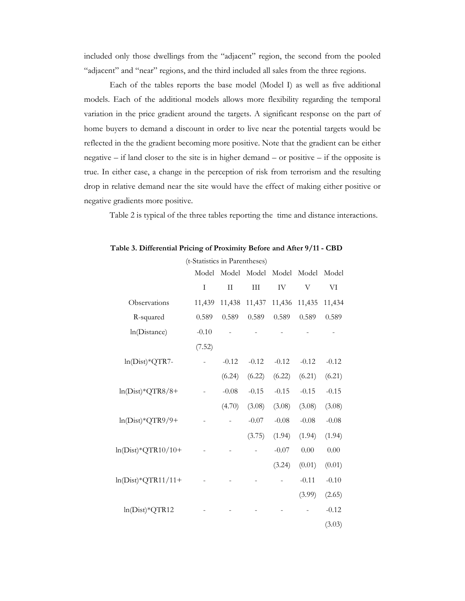included only those dwellings from the "adjacent" region, the second from the pooled "adjacent" and "near" regions, and the third included all sales from the three regions.

Each of the tables reports the base model (Model I) as well as five additional models. Each of the additional models allows more flexibility regarding the temporal variation in the price gradient around the targets. A significant response on the part of home buyers to demand a discount in order to live near the potential targets would be reflected in the the gradient becoming more positive. Note that the gradient can be either negative  $-$  if land closer to the site is in higher demand  $-$  or positive  $-$  if the opposite is true. In either case, a change in the perception of risk from terrorism and the resulting drop in relative demand near the site would have the effect of making either positive or negative gradients more positive.

Table 2 is typical of the three tables reporting the time and distance interactions.

|                      | (t-Statistics in Parentheses) |             |           |         |         |         |
|----------------------|-------------------------------|-------------|-----------|---------|---------|---------|
|                      | Model                         | Model       | Model     | Model   | Model   | Model   |
|                      | I                             | $_{\rm II}$ | $\rm III$ | IV      | V       | VI      |
| Observations         | 11,439                        | 11,438      | 11,437    | 11,436  | 11,435  | 11,434  |
| R-squared            | 0.589                         | 0.589       | 0.589     | 0.589   | 0.589   | 0.589   |
| ln(Distance)         | $-0.10$                       |             |           |         |         |         |
|                      | (7.52)                        |             |           |         |         |         |
| $ln(Dist)*QTR7-$     |                               | $-0.12$     | $-0.12$   | $-0.12$ | $-0.12$ | $-0.12$ |
|                      |                               | (6.24)      | (6.22)    | (6.22)  | (6.21)  | (6.21)  |
| $ln(Dist)*QTR8/8+$   |                               | $-0.08$     | $-0.15$   | $-0.15$ | $-0.15$ | $-0.15$ |
|                      |                               | (4.70)      | (3.08)    | (3.08)  | (3.08)  | (3.08)  |
| $ln(Dist)*QTR9/9+$   |                               |             | $-0.07$   | $-0.08$ | $-0.08$ | $-0.08$ |
|                      |                               |             | (3.75)    | (1.94)  | (1.94)  | (1.94)  |
| $ln(Dist)*QTR10/10+$ |                               |             |           | $-0.07$ | 0.00    | 0.00    |
|                      |                               |             |           | (3.24)  | (0.01)  | (0.01)  |
| $ln(Dist)*QTR11/11+$ |                               |             |           |         | $-0.11$ | $-0.10$ |
|                      |                               |             |           |         | (3.99)  | (2.65)  |
| $ln(Dist)*QTR12$     |                               |             |           |         |         | $-0.12$ |
|                      |                               |             |           |         |         | (3.03)  |

**Table 3. Differential Pricing of Proximity Before and After 9/11 - CBD**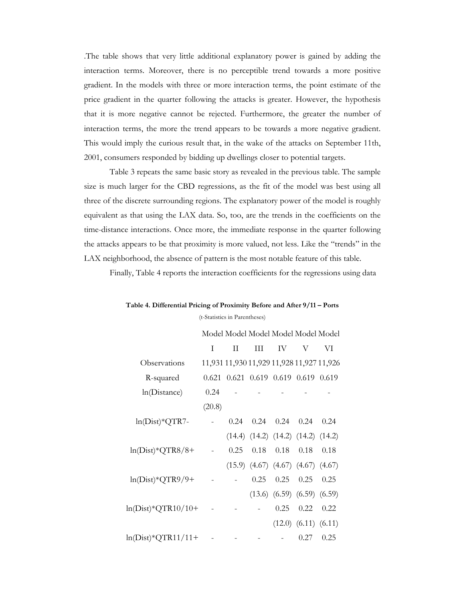.The table shows that very little additional explanatory power is gained by adding the interaction terms. Moreover, there is no perceptible trend towards a more positive gradient. In the models with three or more interaction terms, the point estimate of the price gradient in the quarter following the attacks is greater. However, the hypothesis that it is more negative cannot be rejected. Furthermore, the greater the number of interaction terms, the more the trend appears to be towards a more negative gradient. This would imply the curious result that, in the wake of the attacks on September 11th, 2001, consumers responded by bidding up dwellings closer to potential targets.

Table 3 repeats the same basic story as revealed in the previous table. The sample size is much larger for the CBD regressions, as the fit of the model was best using all three of the discrete surrounding regions. The explanatory power of the model is roughly equivalent as that using the LAX data. So, too, are the trends in the coefficients on the time-distance interactions. Once more, the immediate response in the quarter following the attacks appears to be that proximity is more valued, not less. Like the "trends" in the LAX neighborhood, the absence of pattern is the most notable feature of this table.

Finally, Table 4 reports the interaction coefficients for the regressions using data

#### **Table 4. Differential Pricing of Proximity Before and After 9/11 – Ports**

|                      |            |             |                   |      | Model Model Model Model Model                |      |
|----------------------|------------|-------------|-------------------|------|----------------------------------------------|------|
|                      | T          | $_{\rm II}$ | Ш                 | IV   | V                                            | VI   |
| Observations         |            |             |                   |      | 11,931 11,930 11,929 11,928 11,927 11,926    |      |
| R-squared            | 0.621      |             |                   |      | 0.621 0.619 0.619 0.619 0.619                |      |
| ln(Distance)         | 0.24       |             |                   |      |                                              |      |
|                      | (20.8)     |             |                   |      |                                              |      |
| $ln(Dist)*QTR7-$     | $\sim$ $-$ | 0.24        | 0.24              | 0.24 | 0.24                                         | 0.24 |
|                      |            |             |                   |      | $(14.4)$ $(14.2)$ $(14.2)$ $(14.2)$ $(14.2)$ |      |
| $ln(Dist)*QTR8/8+$   |            | 0.25        | 0.18              | 0.18 | 0.18                                         | 0.18 |
|                      |            |             |                   |      | $(15.9)$ $(4.67)$ $(4.67)$ $(4.67)$ $(4.67)$ |      |
| $ln(Dist)*QTR9/9+$   |            |             | 0.25              | 0.25 | 0.25                                         | 0.25 |
|                      |            |             |                   |      | $(13.6)$ $(6.59)$ $(6.59)$ $(6.59)$          |      |
| $ln(Dist)*QTR10/10+$ |            |             | $\qquad \qquad -$ | 0.25 | 0.22                                         | 0.22 |
|                      |            |             |                   |      | $(12.0)$ $(6.11)$ $(6.11)$                   |      |
| $ln(Dist)*QTR11/11+$ |            |             |                   |      | 0.27                                         | 0.25 |

(t-Statistics in Parentheses)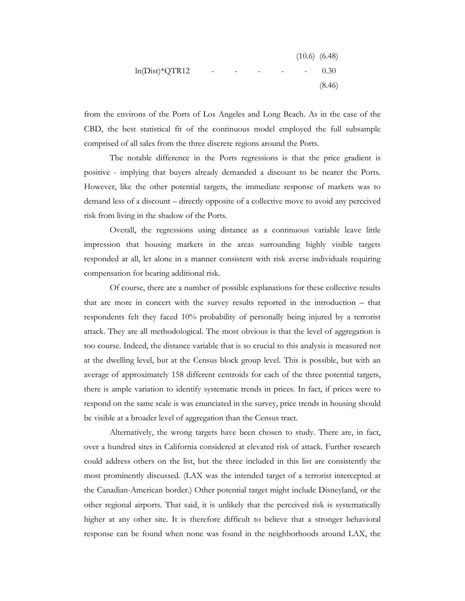|                  |        |                  |      | $(10.6)$ $(6.48)$ |
|------------------|--------|------------------|------|-------------------|
| $ln(Dist)*QTR12$ | $\sim$ | $\sim$ 100 $\mu$ | $ -$ | $ -$ 0.30         |
|                  |        |                  |      | (8.46)            |

from the environs of the Ports of Los Angeles and Long Beach. As in the case of the CBD, the best statistical fit of the continuous model employed the full subsample comprised of all sales from the three discrete regions around the Ports.

The notable difference in the Ports regressions is that the price gradient is positive - implying that buyers already demanded a discount to be nearer the Ports. However, like the other potential targets, the immediate response of markets was to demand less of a discount – directly opposite of a collective move to avoid any perceived risk from living in the shadow of the Ports.

Overall, the regressions using distance as a continuous variable leave little impression that housing markets in the areas surrounding highly visible targets responded at all, let alone in a manner consistent with risk averse individuals requiring compensation for bearing additional risk.

Of course, there are a number of possible explanations for these collective results that are more in concert with the survey results reported in the introduction – that respondents felt they faced 10% probability of personally being injured by a terrorist attack. They are all methodological. The most obvious is that the level of aggregation is too course. Indeed, the distance variable that is so crucial to this analysis is measured not at the dwelling level, but at the Census block group level. This is possible, but with an average of approximately 158 different centroids for each of the three potential targets, there is ample variation to identify systematic trends in prices. In fact, if prices were to respond on the same scale is was enunciated in the survey, price trends in housing should be visible at a broader level of aggregation than the Census tract.

Alternatively, the wrong targets have been chosen to study. There are, in fact, over a hundred sites in California considered at elevated risk of attack. Further research could address others on the list, but the three included in this list are consistently the most prominently discussed. (LAX was the intended target of a terrorist intercepted at the Canadian-American border.) Other potential target might include Disneyland, or the other regional airports. That said, it is unlikely that the perceived risk is systematically higher at any other site. It is therefore difficult to believe that a stronger behavioral response can be found when none was found in the neighborhoods around LAX, the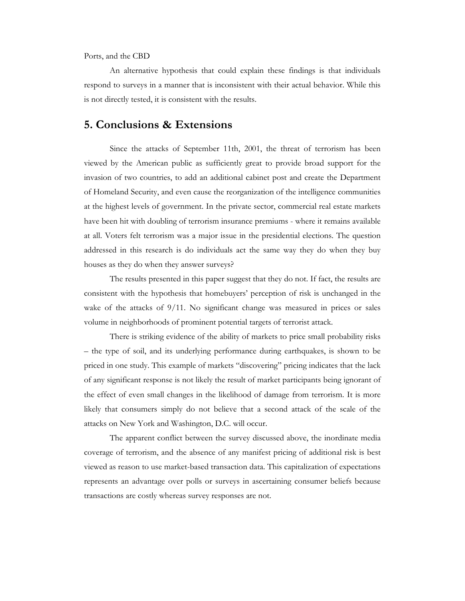Ports, and the CBD

An alternative hypothesis that could explain these findings is that individuals respond to surveys in a manner that is inconsistent with their actual behavior. While this is not directly tested, it is consistent with the results.

# **5. Conclusions & Extensions**

Since the attacks of September 11th, 2001, the threat of terrorism has been viewed by the American public as sufficiently great to provide broad support for the invasion of two countries, to add an additional cabinet post and create the Department of Homeland Security, and even cause the reorganization of the intelligence communities at the highest levels of government. In the private sector, commercial real estate markets have been hit with doubling of terrorism insurance premiums - where it remains available at all. Voters felt terrorism was a major issue in the presidential elections. The question addressed in this research is do individuals act the same way they do when they buy houses as they do when they answer surveys?

The results presented in this paper suggest that they do not. If fact, the results are consistent with the hypothesis that homebuyers' perception of risk is unchanged in the wake of the attacks of 9/11. No significant change was measured in prices or sales volume in neighborhoods of prominent potential targets of terrorist attack.

There is striking evidence of the ability of markets to price small probability risks – the type of soil, and its underlying performance during earthquakes, is shown to be priced in one study. This example of markets "discovering" pricing indicates that the lack of any significant response is not likely the result of market participants being ignorant of the effect of even small changes in the likelihood of damage from terrorism. It is more likely that consumers simply do not believe that a second attack of the scale of the attacks on New York and Washington, D.C. will occur.

The apparent conflict between the survey discussed above, the inordinate media coverage of terrorism, and the absence of any manifest pricing of additional risk is best viewed as reason to use market-based transaction data. This capitalization of expectations represents an advantage over polls or surveys in ascertaining consumer beliefs because transactions are costly whereas survey responses are not.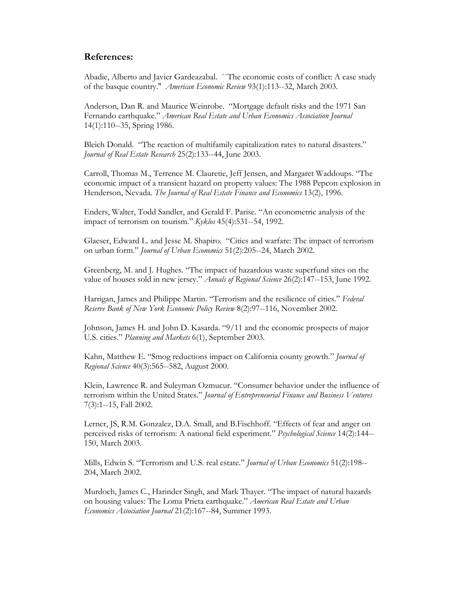## **References:**

Abadie, Alberto and Javier Gardeazabal. ``The economic costs of conflict: A case study of the basque country.'' *American Economic Review* 93(1):113--32, March 2003.

Anderson, Dan R. and Maurice Weinrobe. "Mortgage default risks and the 1971 San Fernando earthquake." *American Real Estate and Urban Economics Association Journal* 14(1):110--35, Spring 1986.

Bleich Donald. "The reaction of multifamily capitalization rates to natural disasters." *Journal of Real Estate Research* 25(2):133--44, June 2003.

Carroll, Thomas M., Terrence M. Clauretie, Jeff Jensen, and Margaret Waddoups. "The economic impact of a transient hazard on property values: The 1988 Pepcon explosion in Henderson, Nevada. *The Journal of Real Estate Finance and Economics* 13(2), 1996.

Enders, Walter, Todd Sandler, and Gerald F. Parise. "An econometric analysis of the impact of terrorism on tourism." *Kyklos* 45(4):531--54, 1992.

Glaeser, Edward L. and Jesse M. Shapiro. "Cities and warfare: The impact of terrorism on urban form." *Journal of Urban Economics* 51(2):205--24, March 2002.

Greenberg, M. and J. Hughes. "The impact of hazardous waste superfund sites on the value of houses sold in new jersey." *Annals of Regional Science* 26(2):147--153, June 1992.

Harrigan, James and Philippe Martin. "Terrorism and the resilience of cities." *Federal Reserve Bank of New York Economic Policy Review* 8(2):97--116, November 2002.

Johnson, James H. and John D. Kasarda. "9/11 and the economic prospects of major U.S. cities." *Planning and Markets* 6(1), September 2003.

Kahn, Matthew E. "Smog reductions impact on California county growth." *Journal of Regional Science* 40(3):565--582, August 2000.

Klein, Lawrence R. and Suleyman Ozmucur. "Consumer behavior under the influence of terrorism within the United States." *Journal of Entrepreneurial Finance and Business Ventures* 7(3):1--15, Fall 2002.

Lerner, JS, R.M. Gonzalez, D.A. Small, and B.Fischhoff. "Effects of fear and anger on perceived risks of terrorism: A national field experiment." *Psychological Science* 14(2):144-- 150, March 2003.

Mills, Edwin S. "Terrorism and U.S. real estate." *Journal of Urban Economics* 51(2):198-- 204, March 2002.

Murdoch, James C., Harinder Singh, and Mark Thayer. "The impact of natural hazards on housing values: The Loma Prieta earthquake." *American Real Estate and Urban Economics Association Journal* 21(2):167--84, Summer 1993.